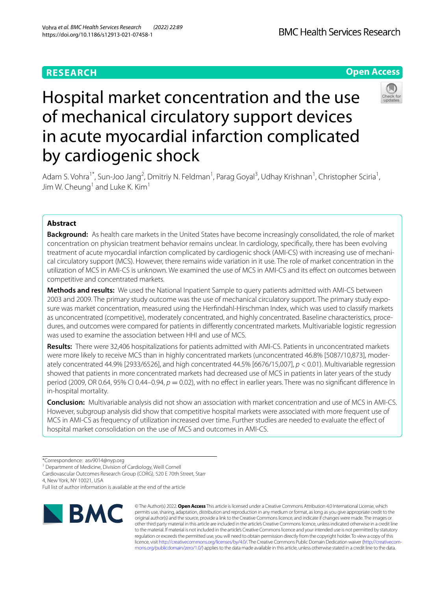# **RESEARCH**

**Open Access**

# Hospital market concentration and the use of mechanical circulatory support devices in acute myocardial infarction complicated by cardiogenic shock



Adam S. Vohra<sup>1\*</sup>, Sun-Joo Jang<sup>2</sup>, Dmitriy N. Feldman<sup>1</sup>, Parag Goyal<sup>3</sup>, Udhay Krishnan<sup>1</sup>, Christopher Sciria<sup>1</sup>, Jim W. Cheung<sup>1</sup> and Luke K. Kim<sup>1</sup>

## **Abstract**

**Background:** As health care markets in the United States have become increasingly consolidated, the role of market concentration on physician treatment behavior remains unclear. In cardiology, specifcally, there has been evolving treatment of acute myocardial infarction complicated by cardiogenic shock (AMI-CS) with increasing use of mechanical circulatory support (MCS). However, there remains wide variation in it use. The role of market concentration in the utilization of MCS in AMI-CS is unknown. We examined the use of MCS in AMI-CS and its efect on outcomes between competitive and concentrated markets.

**Methods and results:** We used the National Inpatient Sample to query patients admitted with AMI-CS between 2003 and 2009. The primary study outcome was the use of mechanical circulatory support. The primary study exposure was market concentration, measured using the Herfndahl-Hirschman Index, which was used to classify markets as unconcentrated (competitive), moderately concentrated, and highly concentrated. Baseline characteristics, procedures, and outcomes were compared for patients in diferently concentrated markets. Multivariable logistic regression was used to examine the association between HHI and use of MCS.

**Results:** There were 32,406 hospitalizations for patients admitted with AMI-CS. Patients in unconcentrated markets were more likely to receive MCS than in highly concentrated markets (unconcentrated 46.8% [5087/10,873], moderately concentrated 44.9% [2933/6526], and high concentrated 44.5% [6676/15,007], *p* < 0.01). Multivariable regression showed that patients in more concentrated markets had decreased use of MCS in patients in later years of the study period (2009, OR 0.64, 95% CI 0.44–0.94, *p* = 0.02), with no efect in earlier years. There was no signifcant diference in in-hospital mortality.

**Conclusion:** Multivariable analysis did not show an association with market concentration and use of MCS in AMI-CS. However, subgroup analysis did show that competitive hospital markets were associated with more frequent use of MCS in AMI-CS as frequency of utilization increased over time. Further studies are needed to evaluate the efect of hospital market consolidation on the use of MCS and outcomes in AMI-CS.

<sup>1</sup> Department of Medicine, Division of Cardiology, Weill Cornell

4, New York, NY 10021, USA

Full list of author information is available at the end of the article



© The Author(s) 2022. **Open Access** This article is licensed under a Creative Commons Attribution 4.0 International License, which permits use, sharing, adaptation, distribution and reproduction in any medium or format, as long as you give appropriate credit to the original author(s) and the source, provide a link to the Creative Commons licence, and indicate if changes were made. The images or other third party material in this article are included in the article's Creative Commons licence, unless indicated otherwise in a credit line to the material. If material is not included in the article's Creative Commons licence and your intended use is not permitted by statutory regulation or exceeds the permitted use, you will need to obtain permission directly from the copyright holder. To view a copy of this licence, visit [http://creativecommons.org/licenses/by/4.0/.](http://creativecommons.org/licenses/by/4.0/) The Creative Commons Public Domain Dedication waiver (http://creativecom[mons.org/publicdomain/zero/1.0/\)](http://creativecommons.org/publicdomain/zero/1.0/) applies to the data made available in this article, unless otherwise stated in a credit line to the data.

<sup>\*</sup>Correspondence: asv9014@nyp.org

Cardiovascular Outcomes Research Group (CORG), 520 E 70th Street, Starr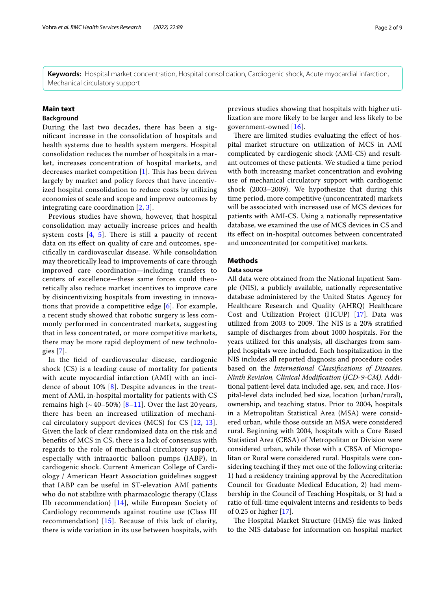**Keywords:** Hospital market concentration, Hospital consolidation, Cardiogenic shock, Acute myocardial infarction, Mechanical circulatory support

## **Main text**

## **Background**

During the last two decades, there has been a signifcant increase in the consolidation of hospitals and health systems due to health system mergers. Hospital consolidation reduces the number of hospitals in a market, increases concentration of hospital markets, and decreases market competition  $[1]$  $[1]$ . This has been driven largely by market and policy forces that have incentivized hospital consolidation to reduce costs by utilizing economies of scale and scope and improve outcomes by integrating care coordination [[2,](#page-8-1) [3](#page-8-2)].

Previous studies have shown, however, that hospital consolidation may actually increase prices and health system costs  $[4, 5]$  $[4, 5]$  $[4, 5]$  $[4, 5]$ . There is still a paucity of recent data on its efect on quality of care and outcomes, specifcally in cardiovascular disease. While consolidation may theoretically lead to improvements of care through improved care coordination—including transfers to centers of excellence—these same forces could theoretically also reduce market incentives to improve care by disincentivizing hospitals from investing in innovations that provide a competitive edge [\[6](#page-8-5)]. For example, a recent study showed that robotic surgery is less commonly performed in concentrated markets, suggesting that in less concentrated, or more competitive markets, there may be more rapid deployment of new technologies [[7\]](#page-8-6).

In the feld of cardiovascular disease, cardiogenic shock (CS) is a leading cause of mortality for patients with acute myocardial infarction (AMI) with an incidence of about 10% [[8\]](#page-8-7). Despite advances in the treatment of AMI, in-hospital mortality for patients with CS remains high  $(~40-50%)$  [8-[11](#page-8-8)]. Over the last 20 years, there has been an increased utilization of mechanical circulatory support devices (MCS) for CS [[12,](#page-8-9) [13\]](#page-8-10). Given the lack of clear randomized data on the risk and benefts of MCS in CS, there is a lack of consensus with regards to the role of mechanical circulatory support, especially with intraaortic balloon pumps (IABP), in cardiogenic shock. Current American College of Cardiology / American Heart Association guidelines suggest that IABP can be useful in ST-elevation AMI patients who do not stabilize with pharmacologic therapy (Class IIb recommendation) [[14](#page-8-11)], while European Society of Cardiology recommends against routine use (Class III recommendation) [[15\]](#page-8-12). Because of this lack of clarity, there is wide variation in its use between hospitals, with

previous studies showing that hospitals with higher utilization are more likely to be larger and less likely to be government-owned [[16](#page-8-13)].

There are limited studies evaluating the effect of hospital market structure on utilization of MCS in AMI complicated by cardiogenic shock (AMI-CS) and resultant outcomes of these patients. We studied a time period with both increasing market concentration and evolving use of mechanical circulatory support with cardiogenic shock (2003–2009). We hypothesize that during this time period, more competitive (unconcentrated) markets will be associated with increased use of MCS devices for patients with AMI-CS. Using a nationally representative database, we examined the use of MCS devices in CS and its efect on in-hospital outcomes between concentrated and unconcentrated (or competitive) markets.

## **Methods**

## **Data source**

All data were obtained from the National Inpatient Sample (NIS), a publicly available, nationally representative database administered by the United States Agency for Healthcare Research and Quality (AHRQ) Healthcare Cost and Utilization Project (HCUP) [\[17](#page-8-14)]. Data was utilized from 2003 to 2009. The NIS is a 20% stratified sample of discharges from about 1000 hospitals. For the years utilized for this analysis, all discharges from sampled hospitals were included. Each hospitalization in the NIS includes all reported diagnosis and procedure codes based on the *International Classifcations of Diseases, Ninth Revision, Clinical Modifcation* (*ICD-9-CM)*. Additional patient-level data included age, sex, and race. Hospital-level data included bed size, location (urban/rural), ownership, and teaching status. Prior to 2004, hospitals in a Metropolitan Statistical Area (MSA) were considered urban, while those outside an MSA were considered rural. Beginning with 2004, hospitals with a Core Based Statistical Area (CBSA) of Metropolitan or Division were considered urban, while those with a CBSA of Micropolitan or Rural were considered rural. Hospitals were considering teaching if they met one of the following criteria: 1) had a residency training approval by the Accreditation Council for Graduate Medical Education, 2) had membership in the Council of Teaching Hospitals, or 3) had a ratio of full-time equivalent interns and residents to beds of 0.25 or higher [\[17](#page-8-14)].

The Hospital Market Structure (HMS) file was linked to the NIS database for information on hospital market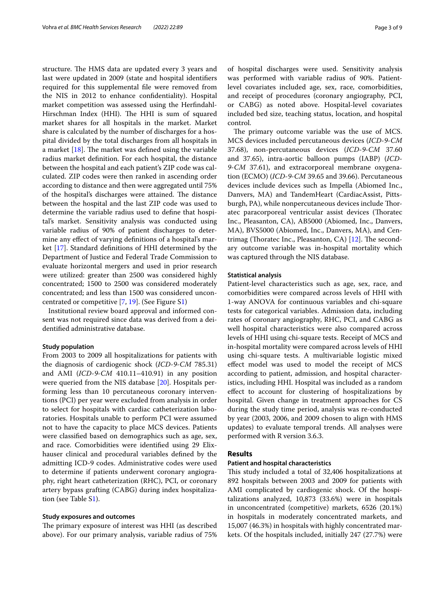structure. The HMS data are updated every 3 years and last were updated in 2009 (state and hospital identifers required for this supplemental fle were removed from the NIS in 2012 to enhance confdentiality). Hospital market competition was assessed using the Herfndahl-Hirschman Index (HHI). The HHI is sum of squared market shares for all hospitals in the market. Market share is calculated by the number of discharges for a hospital divided by the total discharges from all hospitals in a market  $[18]$  $[18]$ . The market was defined using the variable radius market defnition. For each hospital, the distance between the hospital and each patient's ZIP code was calculated. ZIP codes were then ranked in ascending order according to distance and then were aggregated until 75% of the hospital's discharges were attained. The distance between the hospital and the last ZIP code was used to determine the variable radius used to defne that hospital's market. Sensitivity analysis was conducted using variable radius of 90% of patient discharges to determine any efect of varying defnitions of a hospital's market [[17\]](#page-8-14). Standard defnitions of HHI determined by the Department of Justice and Federal Trade Commission to evaluate horizontal mergers and used in prior research were utilized: greater than 2500 was considered highly concentrated; 1500 to 2500 was considered moderately concentrated; and less than 1500 was considered unconcentrated or competitive [[7,](#page-8-6) [19\]](#page-8-16). (See Figure S[1](#page-7-0))

Institutional review board approval and informed consent was not required since data was derived from a deidentifed administrative database.

### **Study population**

From 2003 to 2009 all hospitalizations for patients with the diagnosis of cardiogenic shock (*ICD-9-CM* 785.31) and AMI (*ICD-9-CM* 410.11–410.91) in any position were queried from the NIS database [[20](#page-8-17)]. Hospitals performing less than 10 percutaneous coronary interventions (PCI) per year were excluded from analysis in order to select for hospitals with cardiac catheterization laboratories. Hospitals unable to perform PCI were assumed not to have the capacity to place MCS devices. Patients were classifed based on demographics such as age, sex, and race. Comorbidities were identifed using 29 Elixhauser clinical and procedural variables defned by the admitting ICD-9 codes. Administrative codes were used to determine if patients underwent coronary angiography, right heart catheterization (RHC), PCI, or coronary artery bypass grafting (CABG) during index hospitalization (see Table [S1](#page-7-0)).

## **Study exposures and outcomes**

The primary exposure of interest was HHI (as described above). For our primary analysis, variable radius of 75% of hospital discharges were used. Sensitivity analysis was performed with variable radius of 90%. Patientlevel covariates included age, sex, race, comorbidities, and receipt of procedures (coronary angiography, PCI, or CABG) as noted above. Hospital-level covariates included bed size, teaching status, location, and hospital control.

The primary outcome variable was the use of MCS. MCS devices included percutaneous devices (*ICD-9-CM* 37.68), non-percutaneous devices (*ICD-9-CM* 37.60 and 37.65), intra-aortic balloon pumps (IABP) (*ICD-9-CM* 37.61), and extracorporeal membrane oxygenation (ECMO) (*ICD-9-CM* 39.65 and 39.66). Percutaneous devices include devices such as Impella (Abiomed Inc., Danvers, MA) and TandemHeart (CardiacAssist, Pittsburgh, PA), while nonpercutaneous devices include Thoratec paracorporeal ventricular assist devices (Thoratec Inc., Pleasanton, CA), AB5000 (Abiomed, Inc., Danvers, MA), BVS5000 (Abiomed, Inc., Danvers, MA), and Centrimag (Thoratec Inc., Pleasanton, CA)  $[12]$  $[12]$ . The secondary outcome variable was in-hospital mortality which was captured through the NIS database.

## **Statistical analysis**

Patient-level characteristics such as age, sex, race, and comorbidities were compared across levels of HHI with 1-way ANOVA for continuous variables and chi-square tests for categorical variables. Admission data, including rates of coronary angiography, RHC, PCI, and CABG as well hospital characteristics were also compared across levels of HHI using chi-square tests. Receipt of MCS and in-hospital mortality were compared across levels of HHI using chi-square tests. A multivariable logistic mixed efect model was used to model the receipt of MCS according to patient, admission, and hospital characteristics, including HHI. Hospital was included as a random efect to account for clustering of hospitalizations by hospital. Given change in treatment approaches for CS during the study time period, analysis was re-conducted by year (2003, 2006, and 2009 chosen to align with HMS updates) to evaluate temporal trends. All analyses were performed with R version 3.6.3.

#### **Results**

## **Patient and hospital characteristics**

This study included a total of 32,406 hospitalizations at 892 hospitals between 2003 and 2009 for patients with AMI complicated by cardiogenic shock. Of the hospitalizations analyzed, 10,873 (33.6%) were in hospitals in unconcentrated (competitive) markets, 6526 (20.1%) in hospitals in moderately concentrated markets, and 15,007 (46.3%) in hospitals with highly concentrated markets. Of the hospitals included, initially 247 (27.7%) were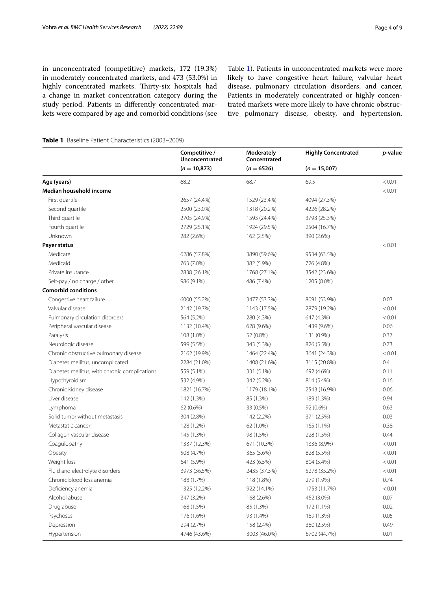in unconcentrated (competitive) markets, 172 (19.3%) in moderately concentrated markets, and 473 (53.0%) in highly concentrated markets. Thirty-six hospitals had a change in market concentration category during the study period. Patients in diferently concentrated markets were compared by age and comorbid conditions (see Table [1](#page-3-0)). Patients in unconcentrated markets were more likely to have congestive heart failure, valvular heart disease, pulmonary circulation disorders, and cancer. Patients in moderately concentrated or highly concentrated markets were more likely to have chronic obstructive pulmonary disease, obesity, and hypertension.

<span id="page-3-0"></span>**Table 1** Baseline Patient Characteristics (2003–2009)

|                                               | Competitive /<br>Unconcentrated<br>$(n = 10,873)$ | Moderately<br>Concentrated | <b>Highly Concentrated</b> | p-value |
|-----------------------------------------------|---------------------------------------------------|----------------------------|----------------------------|---------|
|                                               |                                                   | $(n = 6526)$               | $(n = 15,007)$             |         |
| Age (years)                                   | 68.2                                              | 68.7                       | 69.5                       | < 0.01  |
| Median household income                       |                                                   |                            |                            | < 0.01  |
| First quartile                                | 2657 (24.4%)                                      | 1529 (23.4%)               | 4094 (27.3%)               |         |
| Second quartile                               | 2500 (23.0%)                                      | 1318 (20.2%)               | 4226 (28.2%)               |         |
| Third quartile                                | 2705 (24.9%)                                      | 1593 (24.4%)               | 3793 (25.3%)               |         |
| Fourth quartile                               | 2729 (25.1%)                                      | 1924 (29.5%)               | 2504 (16.7%)               |         |
| Unknown                                       | 282 (2.6%)                                        | 162 (2.5%)                 | 390 (2.6%)                 |         |
| Payer status                                  |                                                   |                            |                            | < 0.01  |
| Medicare                                      | 6286 (57.8%)                                      | 3890 (59.6%)               | 9534 (63.5%)               |         |
| Medicaid                                      | 763 (7.0%)                                        | 382 (5.9%)                 | 726 (4.8%)                 |         |
| Private insurance                             | 2838 (26.1%)                                      | 1768 (27.1%)               | 3542 (23.6%)               |         |
| Self-pay / no charge / other                  | 986 (9.1%)                                        | 486 (7.4%)                 | 1205 (8.0%)                |         |
| <b>Comorbid conditions</b>                    |                                                   |                            |                            |         |
| Congestive heart failure                      | 6000 (55.2%)                                      | 3477 (53.3%)               | 8091 (53.9%)               | 0.03    |
| Valvular disease                              | 2142 (19.7%)                                      | 1143 (17.5%)               | 2879 (19.2%)               | < 0.01  |
| Pulmonary circulation disorders               | 564 (5.2%)                                        | 280 (4.3%)                 | 647 (4.3%)                 | < 0.01  |
| Peripheral vascular disease                   | 1132 (10.4%)                                      | 628 (9.6%)                 | 1439 (9.6%)                | 0.06    |
| Paralysis                                     | 108 (1.0%)                                        | 52 (0.8%)                  | 131 (0.9%)                 | 0.37    |
| Neurologic disease                            | 599 (5.5%)                                        | 343 (5.3%)                 | 826 (5.5%)                 | 0.73    |
| Chronic obstructive pulmonary disease         | 2162 (19.9%)                                      | 1464 (22.4%)               | 3641 (24.3%)               | < 0.01  |
| Diabetes mellitus, uncomplicated              | 2284 (21.0%)                                      | 1408 (21.6%)               | 3115 (20.8%)               | 0.4     |
| Diabetes mellitus, with chronic complications | 559 (5.1%)                                        | 331 (5.1%)                 | 692 (4.6%)                 | 0.11    |
| Hypothyroidism                                | 532 (4.9%)                                        | 342 (5.2%)                 | 814 (5.4%)                 | 0.16    |
| Chronic kidney disease                        | 1821 (16.7%)                                      | 1179 (18.1%)               | 2543 (16.9%)               | 0.06    |
| Liver disease                                 | 142 (1.3%)                                        | 85 (1.3%)                  | 189 (1.3%)                 | 0.94    |
| Lymphoma                                      | 62 (0.6%)                                         | 33 (0.5%)                  | 92 (0.6%)                  | 0.63    |
| Solid tumor without metastasis                | 304 (2.8%)                                        | 142 (2.2%)                 | 371 (2.5%)                 | 0.03    |
| Metastatic cancer                             | 128 (1.2%)                                        | 62 (1.0%)                  | 165 (1.1%)                 | 0.38    |
| Collagen vascular disease                     | 145 (1.3%)                                        | 98 (1.5%)                  | 228 (1.5%)                 | 0.44    |
| Coagulopathy                                  | 1337 (12.3%)                                      | 671 (10.3%)                | 1336 (8.9%)                | < 0.01  |
| Obesity                                       | 508 (4.7%)                                        | 365 (5.6%)                 | 828 (5.5%)                 | < 0.01  |
| Weight loss                                   | 641 (5.9%)                                        | 423 (6.5%)                 | 804 (5.4%)                 | < 0.01  |
| Fluid and electrolyte disorders               | 3973 (36.5%)                                      | 2435 (37.3%)               | 5278 (35.2%)               | < 0.01  |
| Chronic blood loss anemia                     | 188 (1.7%)                                        | 118 (1.8%)                 | 279 (1.9%)                 | 0.74    |
| Deficiency anemia                             | 1325 (12.2%)                                      | 922 (14.1%)                | 1753 (11.7%)               | < 0.01  |
| Alcohol abuse                                 | 347 (3.2%)                                        | 168 (2.6%)                 | 452 (3.0%)                 | 0.07    |
| Drug abuse                                    | 168 (1.5%)                                        | 85 (1.3%)                  | 172 (1.1%)                 | 0.02    |
| Psychoses                                     | 176 (1.6%)                                        | 93 (1.4%)                  | 189 (1.3%)                 | 0.05    |
| Depression                                    | 294 (2.7%)                                        | 158 (2.4%)                 | 380 (2.5%)                 | 0.49    |
| Hypertension                                  | 4746 (43.6%)                                      | 3003 (46.0%)               | 6702 (44.7%)               | 0.01    |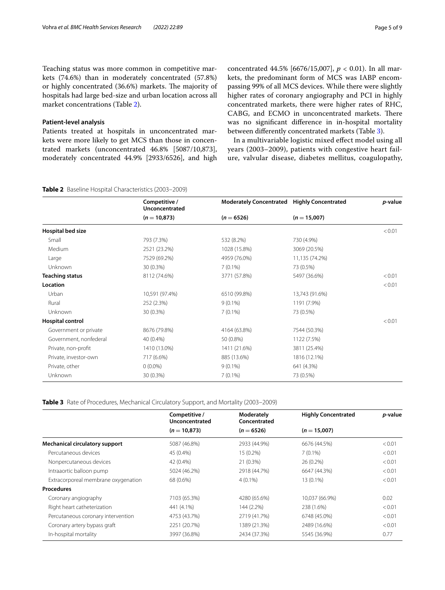Teaching status was more common in competitive markets (74.6%) than in moderately concentrated (57.8%) or highly concentrated (36.6%) markets. The majority of hospitals had large bed-size and urban location across all market concentrations (Table [2\)](#page-4-0).

## **Patient-level analysis**

Patients treated at hospitals in unconcentrated markets were more likely to get MCS than those in concentrated markets (unconcentrated 46.8% [5087/10,873], moderately concentrated 44.9% [2933/6526], and high concentrated 44.5% [6676/15,007], *p* < 0.01). In all markets, the predominant form of MCS was IABP encompassing 99% of all MCS devices. While there were slightly higher rates of coronary angiography and PCI in highly concentrated markets, there were higher rates of RHC, CABG, and ECMO in unconcentrated markets. There was no signifcant diference in in-hospital mortality between diferently concentrated markets (Table [3](#page-4-1)).

In a multivariable logistic mixed efect model using all years (2003–2009), patients with congestive heart failure, valvular disease, diabetes mellitus, coagulopathy,

## <span id="page-4-0"></span>**Table 2** Baseline Hospital Characteristics (2003–2009)

| $(n = 10,873)$<br>$(n = 6526)$<br>$(n = 15,007)$                       |        |
|------------------------------------------------------------------------|--------|
| Hospital bed size                                                      | < 0.01 |
| 730 (4.9%)<br>Small<br>793 (7.3%)<br>532 (8.2%)                        |        |
| Medium<br>2521 (23.2%)<br>1028 (15.8%)<br>3069 (20.5%)                 |        |
| 7529 (69.2%)<br>4959 (76.0%)<br>11,135 (74.2%)<br>Large                |        |
| Unknown<br>30 (0.3%)<br>$7(0.1\%)$<br>73 (0.5%)                        |        |
| <b>Teaching status</b><br>8112 (74.6%)<br>3771 (57.8%)<br>5497 (36.6%) | < 0.01 |
| Location                                                               | < 0.01 |
| Urban<br>10,591 (97.4%)<br>6510 (99.8%)<br>13,743 (91.6%)              |        |
| Rural<br>$9(0.1\%)$<br>1191 (7.9%)<br>252 (2.3%)                       |        |
| Unknown<br>30 (0.3%)<br>$7(0.1\%)$<br>73 (0.5%)                        |        |
| <b>Hospital control</b>                                                | < 0.01 |
| Government or private<br>8676 (79.8%)<br>4164 (63.8%)<br>7544 (50.3%)  |        |
| Government, nonfederal<br>40 (0.4%)<br>1122 (7.5%)<br>50 (0.8%)        |        |
| Private, non-profit<br>1410 (13.0%)<br>1411 (21.6%)<br>3811 (25.4%)    |        |
| 885 (13.6%)<br>Private, investor-own<br>717 (6.6%)<br>1816 (12.1%)     |        |
| Private, other<br>$0(0.0\%)$<br>$9(0.1\%)$<br>641 (4.3%)               |        |
| Unknown<br>30 (0.3%)<br>$7(0.1\%)$<br>73 (0.5%)                        |        |

<span id="page-4-1"></span>**Table 3** Rate of Procedures, Mechanical Circulatory Support, and Mortality (2003–2009)

|                                       | Competitive /<br>Unconcentrated | Moderately<br>Concentrated | <b>Highly Concentrated</b> | p-value |
|---------------------------------------|---------------------------------|----------------------------|----------------------------|---------|
|                                       | $(n = 10,873)$                  | $(n = 6526)$               | $(n = 15,007)$             |         |
| <b>Mechanical circulatory support</b> | 5087 (46.8%)                    | 2933 (44.9%)               | 6676 (44.5%)               | < 0.01  |
| Percutaneous devices                  | 45 (0.4%)                       | $15(0.2\%)$                | $7(0.1\%)$                 | < 0.01  |
| Nonpercutaneous devices               | 42 (0.4%)                       | 21(0.3%)                   | 26 (0.2%)                  | < 0.01  |
| Intraaortic balloon pump              | 5024 (46.2%)                    | 2918 (44.7%)               | 6647 (44.3%)               | < 0.01  |
| Extracorporeal membrane oxygenation   | 68 (0.6%)                       | $4(0.1\%)$                 | 13 (0.1%)                  | < 0.01  |
| <b>Procedures</b>                     |                                 |                            |                            |         |
| Coronary angiography                  | 7103 (65.3%)                    | 4280 (65.6%)               | 10,037 (66.9%)             | 0.02    |
| Right heart catheterization           | 441 (4.1%)                      | 144 (2.2%)                 | 238 (1.6%)                 | < 0.01  |
| Percutaneous coronary intervention    | 4753 (43.7%)                    | 2719 (41.7%)               | 6748 (45.0%)               | < 0.01  |
| Coronary artery bypass graft          | 2251 (20.7%)                    | 1389 (21.3%)               | 2489 (16.6%)               | < 0.01  |
| In-hospital mortality                 | 3997 (36.8%)                    | 2434 (37.3%)               | 5545 (36.9%)               | 0.77    |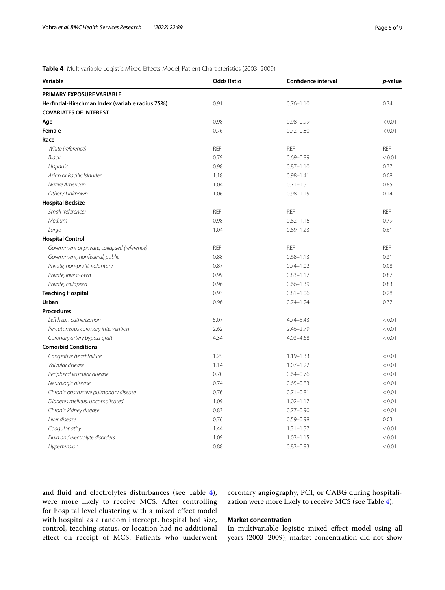## <span id="page-5-0"></span>**Table 4** Multivariable Logistic Mixed Efects Model, Patient Characteristics (2003–2009)

| Variable                                        | <b>Odds Ratio</b> | <b>Confidence interval</b> | p-value    |
|-------------------------------------------------|-------------------|----------------------------|------------|
| PRIMARY EXPOSURE VARIABLE                       |                   |                            |            |
| Herfindal-Hirschman Index (variable radius 75%) | 0.91              | $0.76 - 1.10$              | 0.34       |
| <b>COVARIATES OF INTEREST</b>                   |                   |                            |            |
| Age                                             | 0.98              | $0.98 - 0.99$              | < 0.01     |
| Female                                          | 0.76              | $0.72 - 0.80$              | < 0.01     |
| Race                                            |                   |                            |            |
| White (reference)                               | <b>REF</b>        | <b>REF</b>                 | <b>REF</b> |
| Black                                           | 0.79              | $0.69 - 0.89$              | < 0.01     |
| Hispanic                                        | 0.98              | $0.87 - 1.10$              | 0.77       |
| Asian or Pacific Islander                       | 1.18              | $0.98 - 1.41$              | 0.08       |
| Native American                                 | 1.04              | $0.71 - 1.51$              | 0.85       |
| Other / Unknown                                 | 1.06              | $0.98 - 1.15$              | 0.14       |
| <b>Hospital Bedsize</b>                         |                   |                            |            |
| Small (reference)                               | <b>REF</b>        | <b>REF</b>                 | <b>REF</b> |
| Medium                                          | 0.98              | $0.82 - 1.16$              | 0.79       |
| Large                                           | 1.04              | $0.89 - 1.23$              | 0.61       |
| <b>Hospital Control</b>                         |                   |                            |            |
| Government or private, collapsed (reference)    | <b>REF</b>        | <b>REF</b>                 | <b>REF</b> |
| Government, nonfederal, public                  | 0.88              | $0.68 - 1.13$              | 0.31       |
| Private, non-profit, voluntary                  | 0.87              | $0.74 - 1.02$              | 0.08       |
| Private, invest-own                             | 0.99              | $0.83 - 1.17$              | 0.87       |
| Private, collapsed                              | 0.96              | $0.66 - 1.39$              | 0.83       |
| <b>Teaching Hospital</b>                        | 0.93              | $0.81 - 1.06$              | 0.28       |
| Urban                                           | 0.96              | $0.74 - 1.24$              | 0.77       |
| <b>Procedures</b>                               |                   |                            |            |
| Left heart catherization                        | 5.07              | $4.74 - 5.43$              | < 0.01     |
| Percutaneous coronary intervention              | 2.62              | $2.46 - 2.79$              | < 0.01     |
| Coronary artery bypass graft                    | 4.34              | $4.03 - 4.68$              | < 0.01     |
| <b>Comorbid Conditions</b>                      |                   |                            |            |
| Congestive heart failure                        | 1.25              | $1.19 - 1.33$              | < 0.01     |
| Valvular disease                                | 1.14              | $1.07 - 1.22$              | < 0.01     |
| Peripheral vascular disease                     | 0.70              | $0.64 - 0.76$              | < 0.01     |
| Neurologic disease                              | 0.74              | $0.65 - 0.83$              | < 0.01     |
| Chronic obstructive pulmonary disease           | 0.76              | $0.71 - 0.81$              | < 0.01     |
| Diabetes mellitus, uncomplicated                | 1.09              | $1.02 - 1.17$              | < 0.01     |
| Chronic kidney disease                          | 0.83              | $0.77 - 0.90$              | < 0.01     |
| Liver disease                                   | 0.76              | $0.59 - 0.98$              | 0.03       |
| Coagulopathy                                    | 1.44              | $1.31 - 1.57$              | < 0.01     |
| Fluid and electrolyte disorders                 | 1.09              | $1.03 - 1.15$              | < 0.01     |
| Hypertension                                    | 0.88              | $0.83 - 0.93$              | < 0.01     |

and fuid and electrolytes disturbances (see Table [4\)](#page-5-0), were more likely to receive MCS. After controlling for hospital level clustering with a mixed efect model with hospital as a random intercept, hospital bed size, control, teaching status, or location had no additional efect on receipt of MCS. Patients who underwent coronary angiography, PCI, or CABG during hospitalization were more likely to receive MCS (see Table [4\)](#page-5-0).

## **Market concentration**

In multivariable logistic mixed efect model using all years (2003–2009), market concentration did not show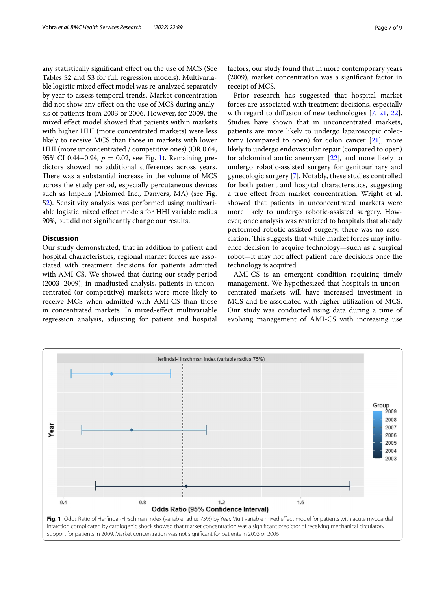any statistically signifcant efect on the use of MCS (See Tables S2 and S3 for full regression models). Multivariable logistic mixed efect model was re-analyzed separately by year to assess temporal trends. Market concentration did not show any efect on the use of MCS during analysis of patients from 2003 or 2006. However, for 2009, the mixed efect model showed that patients within markets with higher HHI (more concentrated markets) were less likely to receive MCS than those in markets with lower HHI (more unconcentrated / competitive ones) (OR 0.64, 95% CI 0.44–0.94,  $p = 0.02$ , see Fig. [1](#page-6-0)). Remaining predictors showed no additional diferences across years. There was a substantial increase in the volume of MCS across the study period, especially percutaneous devices such as Impella (Abiomed Inc., Danvers, MA) (see Fig. S[2\)](#page-7-0). Sensitivity analysis was performed using multivariable logistic mixed efect models for HHI variable radius 90%, but did not signifcantly change our results.

## **Discussion**

Our study demonstrated, that in addition to patient and hospital characteristics, regional market forces are associated with treatment decisions for patients admitted with AMI-CS. We showed that during our study period (2003–2009), in unadjusted analysis, patients in unconcentrated (or competitive) markets were more likely to receive MCS when admitted with AMI-CS than those in concentrated markets. In mixed-efect multivariable regression analysis, adjusting for patient and hospital factors, our study found that in more contemporary years (2009), market concentration was a signifcant factor in receipt of MCS.

Prior research has suggested that hospital market forces are associated with treatment decisions, especially with regard to diffusion of new technologies [\[7](#page-8-6), [21,](#page-8-18) [22](#page-8-19)]. Studies have shown that in unconcentrated markets, patients are more likely to undergo laparoscopic colectomy (compared to open) for colon cancer [\[21](#page-8-18)], more likely to undergo endovascular repair (compared to open) for abdominal aortic aneurysm [\[22\]](#page-8-19), and more likely to undergo robotic-assisted surgery for genitourinary and gynecologic surgery [\[7\]](#page-8-6). Notably, these studies controlled for both patient and hospital characteristics, suggesting a true efect from market concentration. Wright et al. showed that patients in unconcentrated markets were more likely to undergo robotic-assisted surgery. However, once analysis was restricted to hospitals that already performed robotic-assisted surgery, there was no association. This suggests that while market forces may influence decision to acquire technology—such as a surgical robot—it may not afect patient care decisions once the technology is acquired.

AMI-CS is an emergent condition requiring timely management. We hypothesized that hospitals in unconcentrated markets will have increased investment in MCS and be associated with higher utilization of MCS. Our study was conducted using data during a time of evolving management of AMI-CS with increasing use

<span id="page-6-0"></span>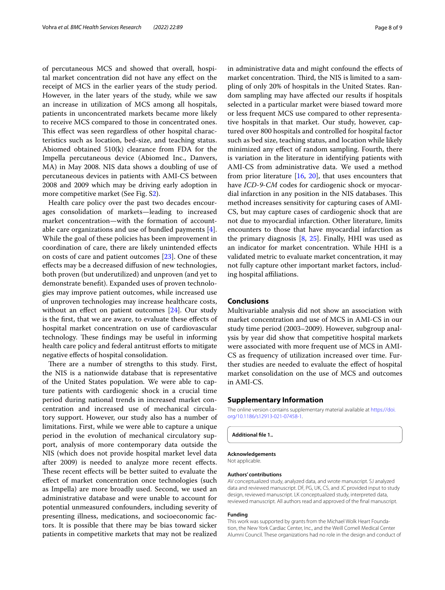of percutaneous MCS and showed that overall, hospital market concentration did not have any efect on the receipt of MCS in the earlier years of the study period. However, in the later years of the study, while we saw an increase in utilization of MCS among all hospitals, patients in unconcentrated markets became more likely to receive MCS compared to those in concentrated ones. This effect was seen regardless of other hospital characteristics such as location, bed-size, and teaching status. Abiomed obtained 510(k) clearance from FDA for the Impella percutaneous device (Abiomed Inc., Danvers, MA) in May 2008. NIS data shows a doubling of use of percutaneous devices in patients with AMI-CS between 2008 and 2009 which may be driving early adoption in more competitive market (See Fig. [S2](#page-7-0)).

Health care policy over the past two decades encourages consolidation of markets—leading to increased market concentration—with the formation of accountable care organizations and use of bundled payments [\[4](#page-8-3)]. While the goal of these policies has been improvement in coordination of care, there are likely unintended efects on costs of care and patient outcomes [[23\]](#page-8-20). One of these efects may be a decreased difusion of new technologies, both proven (but underutilized) and unproven (and yet to demonstrate beneft). Expanded uses of proven technologies may improve patient outcomes, while increased use of unproven technologies may increase healthcare costs, without an effect on patient outcomes [\[24\]](#page-8-21). Our study is the frst, that we are aware, to evaluate these efects of hospital market concentration on use of cardiovascular technology. These findings may be useful in informing health care policy and federal antitrust efforts to mitigate negative efects of hospital consolidation.

There are a number of strengths to this study. First, the NIS is a nationwide database that is representative of the United States population. We were able to capture patients with cardiogenic shock in a crucial time period during national trends in increased market concentration and increased use of mechanical circulatory support. However, our study also has a number of limitations. First, while we were able to capture a unique period in the evolution of mechanical circulatory support, analysis of more contemporary data outside the NIS (which does not provide hospital market level data after 2009) is needed to analyze more recent efects. These recent effects will be better suited to evaluate the efect of market concentration once technologies (such as Impella) are more broadly used. Second, we used an administrative database and were unable to account for potential unmeasured confounders, including severity of presenting illness, medications, and socioeconomic factors. It is possible that there may be bias toward sicker patients in competitive markets that may not be realized in administrative data and might confound the efects of market concentration. Third, the NIS is limited to a sampling of only 20% of hospitals in the United States. Random sampling may have afected our results if hospitals selected in a particular market were biased toward more or less frequent MCS use compared to other representative hospitals in that market. Our study, however, captured over 800 hospitals and controlled for hospital factor such as bed size, teaching status, and location while likely minimized any efect of random sampling. Fourth, there is variation in the literature in identifying patients with AMI-CS from administrative data. We used a method from prior literature [\[16](#page-8-13), [20](#page-8-17)], that uses encounters that have *ICD-9-CM* codes for cardiogenic shock or myocardial infarction in any position in the NIS databases. This method increases sensitivity for capturing cases of AMI-CS, but may capture cases of cardiogenic shock that are not due to myocardial infarction. Other literature, limits encounters to those that have myocardial infarction as the primary diagnosis [\[8](#page-8-7), [25](#page-8-22)]. Finally, HHI was used as an indicator for market concentration. While HHI is a validated metric to evaluate market concentration, it may not fully capture other important market factors, including hospital afliations.

## **Conclusions**

Multivariable analysis did not show an association with market concentration and use of MCS in AMI-CS in our study time period (2003–2009). However, subgroup analysis by year did show that competitive hospital markets were associated with more frequent use of MCS in AMI-CS as frequency of utilization increased over time. Further studies are needed to evaluate the efect of hospital market consolidation on the use of MCS and outcomes in AMI-CS.

## **Supplementary Information**

The online version contains supplementary material available at [https://doi.](https://doi.org/10.1186/s12913-021-07458-1) [org/10.1186/s12913-021-07458-1](https://doi.org/10.1186/s12913-021-07458-1).

<span id="page-7-0"></span>**Additional fle 1..**

## **Acknowledgements**

Not applicable.

## **Authors' contributions**

AV conceptualized study, analyzed data, and wrote manuscript. SJ analyzed data and reviewed manuscript. DF, PG, UK, CS, and JC provided input to study design, reviewed manuscript. LK conceptualized study, interpreted data, reviewed manuscript. All authors read and approved of the fnal manuscript.

#### **Funding**

This work was supported by grants from the Michael Wolk Heart Foundation, the New York Cardiac Center, Inc., and the Weill Cornell Medical Center Alumni Council. These organizations had no role in the design and conduct of